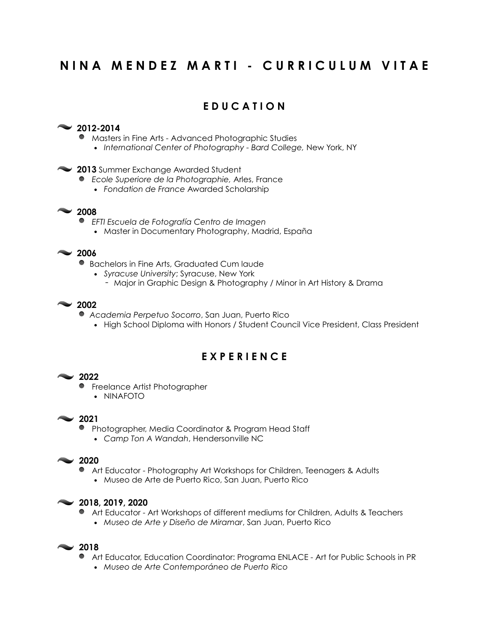# **N I N A M E N D E Z M A R T I - C U R R I C U L U M V I T A E**

# **E D U C A T I O N**

#### **2012-2014**

- Masters in Fine Arts Advanced Photographic Studies
	- *International Center of Photography Bard College,* New York, NY

#### **2013** Summer Exchange Awarded Student

- *Ecole Superiore de la Photographie,* Arles, France
	- *Fondation de France* Awarded Scholarship

### **2008**

 *EFTI Escuela de Fotografía Centro de Imagen*

• Master in Documentary Photography, Madrid, España

### **2006**

- Bachelors in Fine Arts, Graduated Cum laude
	- *Syracuse University*; Syracuse, New York
		- Major in Graphic Design & Photography / Minor in Art History & Drama

#### **2002**

- *Academia Perpetuo Socorro*, San Juan, Puerto Rico
	- High School Diploma with Honors / Student Council Vice President, Class President

# **E X P E R I E N C E**

#### **2022**

- **•** Freelance Artist Photographer
	- NINAFOTO

### **2021**

- **Photographer, Media Coordinator & Program Head Staff** 
	- *Camp Ton A Wandah*, Hendersonville NC

### **2020**

- Art Educator Photography Art Workshops for Children, Teenagers & Adults
	- Museo de Arte de Puerto Rico, San Juan, Puerto Rico

#### **2018, 2019, 2020**

- Art Educator Art Workshops of different mediums for Children, Adults & Teachers
	- *Museo de Arte y Diseño de Miramar*, San Juan, Puerto Rico

- Art Educator, Education Coordinator: Programa ENLACE Art for Public Schools in PR
	- *Museo de Arte Contemporáneo de Puerto Rico*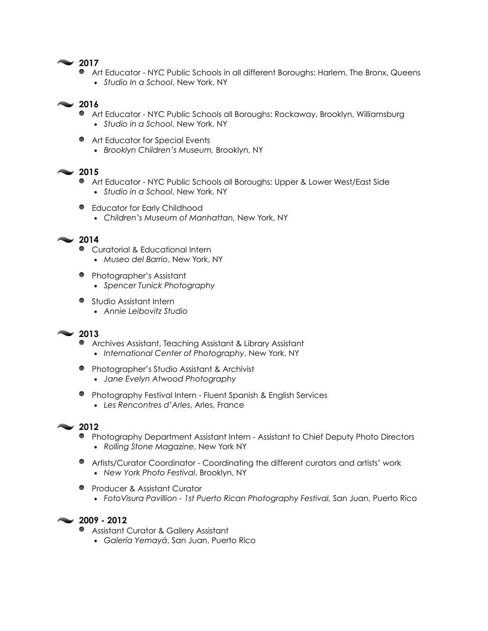### **2017**

- **Art Educator NYC Public Schools in all different Boroughs: Harlem, The Bronx, Queens** 
	- *Studio In a School*, New York, NY

#### **2016**

- Art Educator NYC Public Schools all Boroughs: Rockaway, Brooklyn, Williamsburg
	- *Studio in a School*, New York, NY
- Art Educator for Special Events
	- *Brooklyn Children's Museum,* Brooklyn, NY

### **2015**

- Art Educator NYC Public Schools all Boroughs: Upper & Lower West/East Side • *Studio in a School*, New York, NY
- **•** Educator for Early Childhood
	- *Children's Museum of Manhattan,* New York, NY

#### **2014**

- Curatorial & Educational Intern • *Museo del Barrio*, New York, NY
- **•** Photographer's Assistant *• Spencer Tunick Photography*
- Studio Assistant Intern
	- *Annie Leibovitz Studio*

### **2013**

- Archives Assistant, Teaching Assistant & Library Assistant • *International Center of Photography*, New York, NY
- **•** Photographer's Studio Assistant & Archivist *• Jane Evelyn Atwood Photography*
- **•** Photography Festival Intern Fluent Spanish & English Services • *Les Rencontres d'Arles*, Arles, France

- Photography Department Assistant Intern Assistant to Chief Deputy Photo Directors
	- *Rolling Stone Magazine*, New York NY
- Artists/Curator Coordinator Coordinating the different curators and artists' work • *New York Photo Festival*, Brooklyn, NY
- **•** Producer & Assistant Curator
	- *FotoVisura Pavillion 1st Puerto Rican Photography Festival,* San Juan, Puerto Rico



- **Assistant Curator & Gallery Assistant** 
	- *Galería Yemayá*, San Juan, Puerto Rico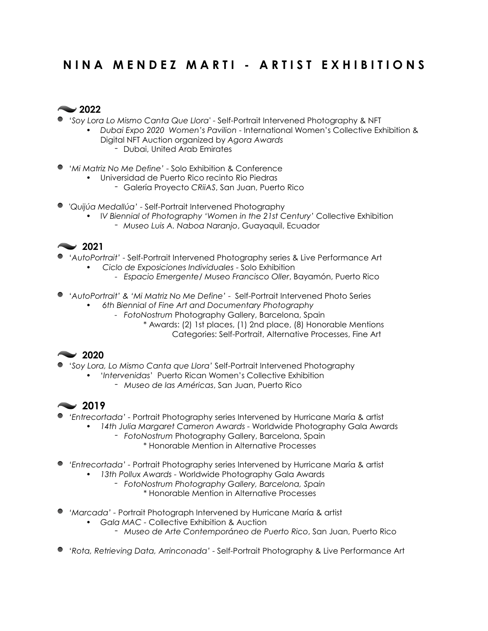# **N I N A M E N D E Z M A R T I - A R T I S T E X H I B I T I O N S**



- '*Soy Lora Lo Mismo Canta Que Llora'* Self-Portrait Intervened Photography & NFT
	- *Dubai Expo 2020 Women's Pavilion* International Women's Collective Exhibition & Digital NFT Auction organized by *Agora Awards*
		- Dubai, United Arab Emirates
- '*Mi Matriz No Me Define'* Solo Exhibition & Conference
	- Universidad de Puerto Rico recinto Rio Piedras
		- Galería Proyecto *CRiiAS*, San Juan, Puerto Rico
- '*Quijúa Medallúa'* Self-Portrait Intervened Photography
	- I*V Biennial of Photography 'Women in the 21st Century'* Collective Exhibition - *Museo Luis A. Naboa Naranjo*, Guayaquil, Ecuador



- '*AutoPortrait'* Self-Portrait Intervened Photography series & Live Performance Art
	- *Ciclo de Exposiciones Individuales* Solo Exhibition
		- *Espacio Emergente/ Museo Francisco Oller*, Bayamón, Puerto Rico
- '*AutoPortrait' & 'Mi Matriz No Me Define'* Self-Portrait Intervened Photo Series
	- *6th Biennial of Fine Art and Documentary Photography*
		- *FotoNostrum* Photography Gallery, Barcelona, Spain
			- \* Awards: (2) 1st places, (1) 2nd place, (8) Honorable Mentions Categories: Self-Portrait, Alternative Processes, Fine Art

# **2020**

- '*Soy Lora, Lo Mismo Canta que Llora'* Self-Portrait Intervened Photography
	- '*Intervenidas*' Puerto Rican Women's Collective Exhibition
		- *Museo de las Américas*, San Juan, Puerto Rico

- *'Entrecortada'* Portrait Photography series Intervened by Hurricane María & artist
	- *• 14th Julia Margaret Cameron Awards* Worldwide Photography Gala Awards
		- *FotoNostrum* Photography Gallery, Barcelona, Spain \* Honorable Mention in Alternative Processes
- *'Entrecortada'* Portrait Photography series Intervened by Hurricane María & artist
	- *• 13th Pollux Awards* Worldwide Photography Gala Awards
		- *- FotoNostrum Photography Gallery, Barcelona, Spain*
			- *\** Honorable Mention in Alternative Processes
- *'Marcada'* Portrait Photograph Intervened by Hurricane María & artist
	- *• Gala MAC* Collective Exhibition & Auction
		- *Museo de Arte Contemporáneo de Puerto Rico*, San Juan, Puerto Rico
- '*Rota, Retrieving Data, Arrinconada'* Self-Portrait Photography & Live Performance Art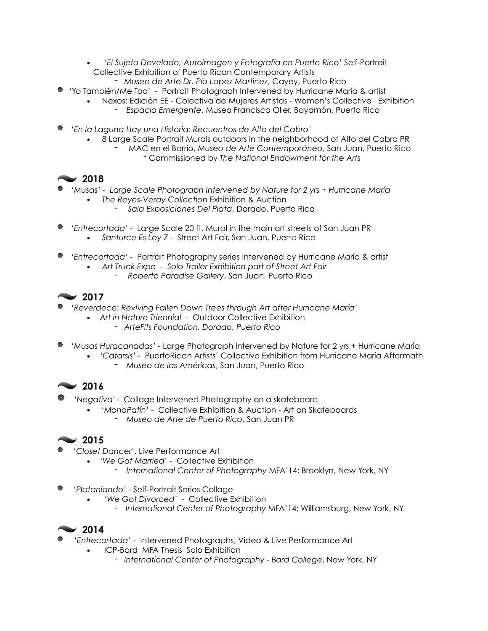- '*El Sujeto Develado, Autoimagen y Fotografía en Puerto Rico'* Self-Portrait Collective Exhibition of Puerto Rican Contemporary Artists
	- *Museo de Arte Dr. Pío Lopez Martinez*, Cayey, Puerto Rico
- 'Yo También/Me Too' Portrait Photograph Intervened by Hurricane María & artist
	- Nexos: Edición EE Colectiva de Mujeres Artistas Women's Collective Exhibition
		- *Espacio Emergente*, Museo Francisco Oller, Bayamón, Puerto Rico
- '*En la Laguna Hay una Historia: Recuentros de Alto del Cabro'*
	- 8 Large Scale Portrait Murals outdoors in the neighborhood of Alto del Cabro PR
		- MAC en el Barrio, *Museo de Arte Contemporáneo*, San Juan, Puerto Rico \* Commissioned by *The National Endowment for the Arts*

# **2018**

- *'Musas' Large Scale Photograph Intervened by Nature for 2 yrs + Hurricane María*
	- *The Reyes-Veray Collection* Exhibition & Auction
		- *Sala Exposiciones Del Plata*, Dorado, Puerto Rico
- *'Entrecortada'* Large Scale 20 ft. Mural in the main art streets of San Juan PR • *Santurce Es Ley 7 -* Street Art Fair, San Juan, Puerto Rico
- *'Entrecortada'* Portrait Photography series Intervened by Hurricane María & artist
	- *Art Truck Expo Solo Trailer Exhibition part of Street Art Fair - Roberto Paradise Gallery*, San Juan, Puerto Rico

# **2017**

- *'Reverdece: Reviving Fallen Down Trees through Art after Hurricane María'*
	- *Art in Nature Triennial* Outdoor Collective Exhibition
		- *- ArteFits Foundation, Dorado, Puerto Rico*
- *'Musas Huracanadas'* Large Photograph Intervened by Nature for 2 yrs + Hurricane María
	- *'Catarsis'* PuertoRican Artists' Collective Exhibition from Hurricane María Aftermath - *Museo de las Américas*, San Juan, Puerto Rico

# **2016**

- *'Negativa'*  Collage Intervened Photography on a skateboard
	- '*MonoPatín*' Collective Exhibition & Auction Art on Skateboards
		- *Museo de Arte de Puerto Rico*, San Juan PR

# **2015**

- '*Closet Dancer*', Live Performance Art
	- '*We Got Married*' Collective Exhibition
		- *- International Center of Photography* MFA'14; Brooklyn, New York, NY
- '*Plataniando'* Self-Portrait Series Collage
	- *• 'We Got Divorced'* Collective Exhibition
		- *- International Center of Photography* MFA'14; Williamsburg, New York, NY

- '*Entrecortada'* Intervened Photographs, Video & Live Performance Art
	- ICP-Bard MFA Thesis Solo Exhibition
		- *International Center of Photography Bard College*, New York, NY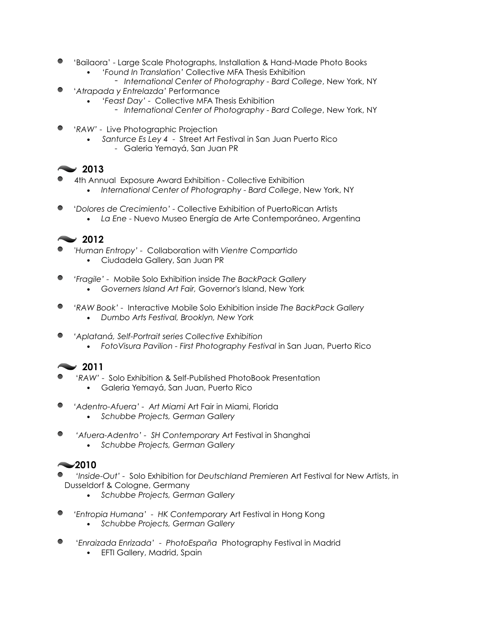- 'Bailaora' Large Scale Photographs, Installation & Hand-Made Photo Books
	- '*Found In Translation'* Collective MFA Thesis Exhibition
		- *International Center of Photography Bard College*, New York, NY
- '*Atrapada y Entrelazda'* Performance
	- '*Feast Day'* Collective MFA Thesis Exhibition
		- *International Center of Photography Bard College*, New York, NY
- '*RAW'* Live Photographic Projection
	- *Santurce Es Ley 4* Street Art Festival in San Juan Puerto Rico
		- Galeria Yemayá, San Juan PR

## **2013**

- 4th Annual Exposure Award Exhibition Collective Exhibition
	- *International Center of Photography Bard College*, New York, NY
- '*Dolores de Crecimiento'* Collective Exhibition of PuertoRican Artists
	- *La Ene* Nuevo Museo Energía de Arte Contemporáneo, Argentina

## **2012**

- '*Human Entropy'* Collaboration with *Vientre Compartido* •Ciudadela Gallery, San Juan PR
- *'Fragile'* Mobile Solo Exhibition inside *The BackPack Gallery*
	- *Governers Island Art Fair,* Governor's Island, New York
- *'RAW Book'* Interactive Mobile Solo Exhibition inside *The BackPack Gallery • Dumbo Arts Festival, Brooklyn, New York*
- 
- *'Aplataná, Self-Portrait series Collective Exhibition*
	- FotoVisura Pavilion First Photography Festival in San Juan, Puerto Rico

# **2011**

- '*RAW'* Solo Exhibition & Self-Published PhotoBook Presentation
	- Galeria Yemayá, San Juan, Puerto Rico
- *'Adentro-Afuera' Art Miami* Art Fair in Miami, Florida
	- *Schubbe Projects, German Gallery*
- $\bullet$  *'Afuera-Adentro' - SH Contemporary* Art Festival in Shanghai *• Schubbe Projects, German Gallery*

- *'Inside-Out'* Solo Exhibition for *Deutschland Premieren* Art Festival for New Artists, in Dusseldorf & Cologne, Germany
	- *• Schubbe Projects, German Gallery*
- *'Entropia Humana' HK Contemporary* Art Festival in Hong Kong *• Schubbe Projects, German Gallery*
- '*Enraizada Enrizada' PhotoEspaña* Photography Festival in Madrid
	- EFTI Gallery, Madrid, Spain